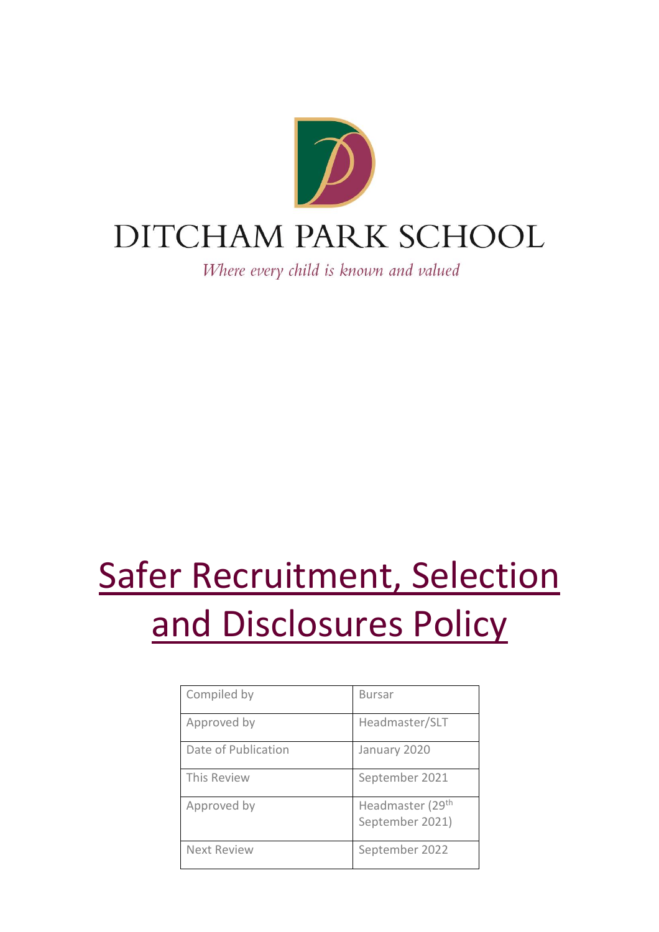

Where every child is known and valued

# Safer Recruitment, Selection and Disclosures Policy

| Compiled by         | <b>Bursar</b>                                   |
|---------------------|-------------------------------------------------|
| Approved by         | Headmaster/SLT                                  |
| Date of Publication | January 2020                                    |
| This Review         | September 2021                                  |
| Approved by         | Headmaster (29 <sup>th</sup><br>September 2021) |
| <b>Next Review</b>  | September 2022                                  |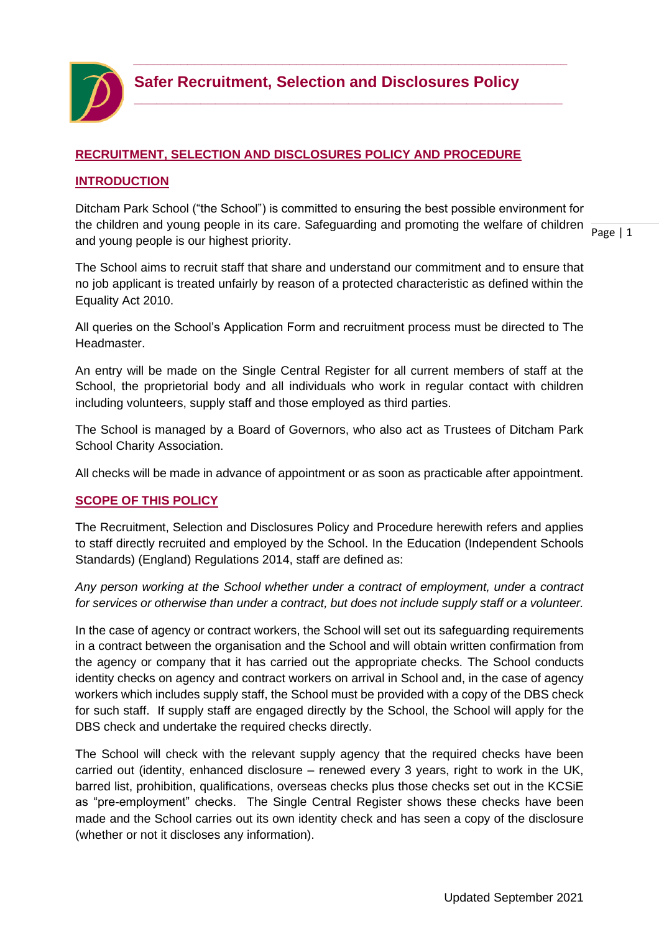

**\_\_\_\_\_\_\_\_\_\_\_\_\_\_\_\_\_\_\_\_\_\_\_\_\_\_\_\_\_\_\_\_\_\_\_\_\_\_\_\_\_\_\_\_\_\_\_\_\_\_\_\_\_\_\_\_\_\_**

#### **RECRUITMENT, SELECTION AND DISCLOSURES POLICY AND PROCEDURE**

#### **INTRODUCTION**

the children and young people in its care. Safeguarding and promoting the welfare of children  $\frac{1}{\text{Page } |1}$ Ditcham Park School ("the School") is committed to ensuring the best possible environment for and young people is our highest priority.

The School aims to recruit staff that share and understand our commitment and to ensure that no job applicant is treated unfairly by reason of a protected characteristic as defined within the Equality Act 2010.

All queries on the School's Application Form and recruitment process must be directed to The Headmaster.

An entry will be made on the Single Central Register for all current members of staff at the School, the proprietorial body and all individuals who work in regular contact with children including volunteers, supply staff and those employed as third parties.

The School is managed by a Board of Governors, who also act as Trustees of Ditcham Park School Charity Association.

All checks will be made in advance of appointment or as soon as practicable after appointment.

#### **SCOPE OF THIS POLICY**

The Recruitment, Selection and Disclosures Policy and Procedure herewith refers and applies to staff directly recruited and employed by the School. In the Education (Independent Schools Standards) (England) Regulations 2014, staff are defined as:

*Any person working at the School whether under a contract of employment, under a contract for services or otherwise than under a contract, but does not include supply staff or a volunteer.*

In the case of agency or contract workers, the School will set out its safeguarding requirements in a contract between the organisation and the School and will obtain written confirmation from the agency or company that it has carried out the appropriate checks. The School conducts identity checks on agency and contract workers on arrival in School and, in the case of agency workers which includes supply staff, the School must be provided with a copy of the DBS check for such staff. If supply staff are engaged directly by the School, the School will apply for the DBS check and undertake the required checks directly.

The School will check with the relevant supply agency that the required checks have been carried out (identity, enhanced disclosure – renewed every 3 years, right to work in the UK, barred list, prohibition, qualifications, overseas checks plus those checks set out in the KCSiE as "pre-employment" checks. The Single Central Register shows these checks have been made and the School carries out its own identity check and has seen a copy of the disclosure (whether or not it discloses any information).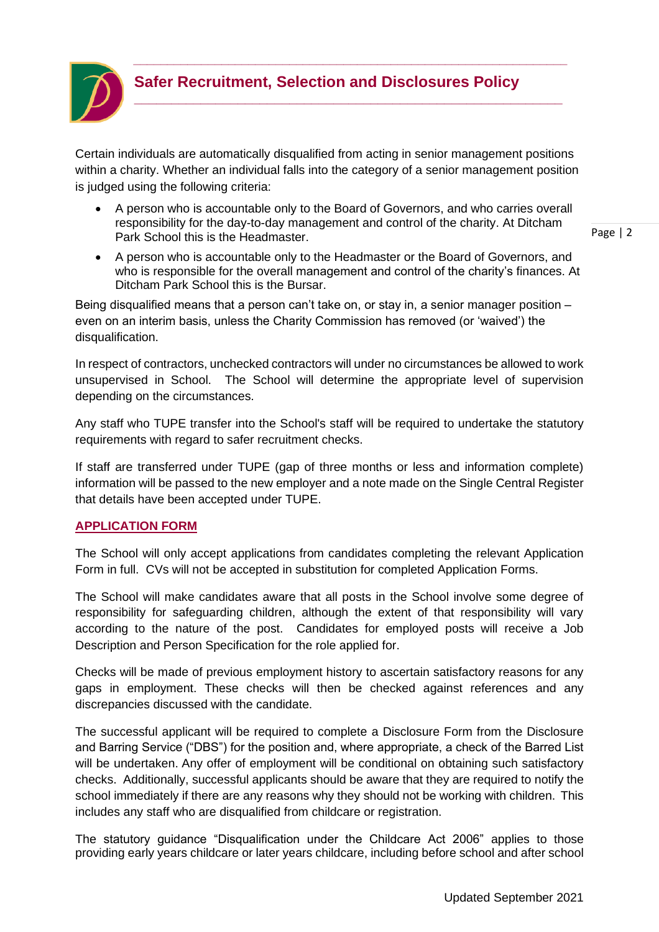

# **Safer Recruitment, Selection and Disclosures Policy**

*\_\_\_\_\_\_\_\_\_\_\_\_\_\_\_\_\_\_\_\_\_\_\_\_\_\_\_\_\_\_\_\_\_\_\_\_\_\_\_\_\_\_\_\_\_\_\_\_\_\_\_\_\_\_\_\_\_\_\_\_\_\_\_\_*

**\_\_\_\_\_\_\_\_\_\_\_\_\_\_\_\_\_\_\_\_\_\_\_\_\_\_\_\_\_\_\_\_\_\_\_\_\_\_\_\_\_\_\_\_\_\_\_\_\_\_\_\_\_\_\_\_\_\_**

Certain individuals are automatically disqualified from acting in senior management positions within a charity. Whether an individual falls into the category of a senior management position is judged using the following criteria:

• A person who is accountable only to the Board of Governors, and who carries overall responsibility for the day-to-day management and control of the charity. At Ditcham Park School this is the Headmaster.

```
Page | 2
```
• A person who is accountable only to the Headmaster or the Board of Governors, and who is responsible for the overall management and control of the charity's finances. At Ditcham Park School this is the Bursar.

Being disqualified means that a person can't take on, or stay in, a senior manager position – even on an interim basis, unless the Charity Commission has removed (or 'waived') the disqualification.

In respect of contractors, unchecked contractors will under no circumstances be allowed to work unsupervised in School. The School will determine the appropriate level of supervision depending on the circumstances.

Any staff who TUPE transfer into the School's staff will be required to undertake the statutory requirements with regard to safer recruitment checks.

If staff are transferred under TUPE (gap of three months or less and information complete) information will be passed to the new employer and a note made on the Single Central Register that details have been accepted under TUPE.

# **APPLICATION FORM**

The School will only accept applications from candidates completing the relevant Application Form in full. CVs will not be accepted in substitution for completed Application Forms.

The School will make candidates aware that all posts in the School involve some degree of responsibility for safeguarding children, although the extent of that responsibility will vary according to the nature of the post. Candidates for employed posts will receive a Job Description and Person Specification for the role applied for.

Checks will be made of previous employment history to ascertain satisfactory reasons for any gaps in employment. These checks will then be checked against references and any discrepancies discussed with the candidate.

The successful applicant will be required to complete a Disclosure Form from the Disclosure and Barring Service ("DBS") for the position and, where appropriate, a check of the Barred List will be undertaken. Any offer of employment will be conditional on obtaining such satisfactory checks. Additionally, successful applicants should be aware that they are required to notify the school immediately if there are any reasons why they should not be working with children. This includes any staff who are disqualified from childcare or registration.

The statutory guidance "Disqualification under the Childcare Act 2006" applies to those providing early years childcare or later years childcare, including before school and after school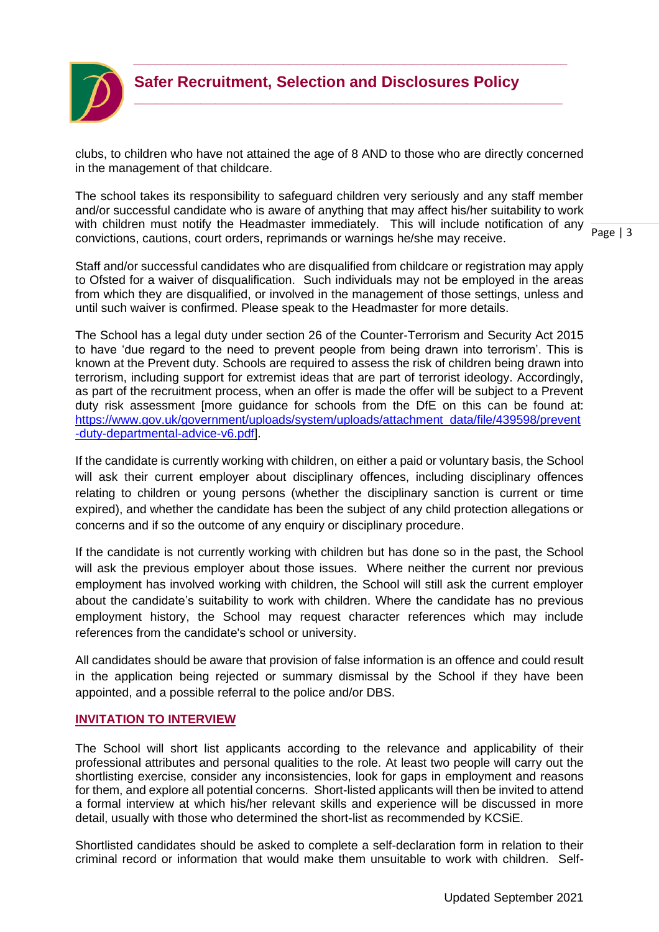

**\_\_\_\_\_\_\_\_\_\_\_\_\_\_\_\_\_\_\_\_\_\_\_\_\_\_\_\_\_\_\_\_\_\_\_\_\_\_\_\_\_\_\_\_\_\_\_\_\_\_\_\_\_\_\_\_\_\_**

clubs, to children who have not attained the age of 8 AND to those who are directly concerned in the management of that childcare.

The school takes its responsibility to safeguard children very seriously and any staff member and/or successful candidate who is aware of anything that may affect his/her suitability to work with children must notify the Headmaster immediately. This will include notification of any convictions, cautions, court orders, reprimands or warnings he/she may receive.

Staff and/or successful candidates who are disqualified from childcare or registration may apply to Ofsted for a waiver of disqualification. Such individuals may not be employed in the areas from which they are disqualified, or involved in the management of those settings, unless and until such waiver is confirmed. Please speak to the Headmaster for more details.

The School has a legal duty under section 26 of the Counter-Terrorism and Security Act 2015 to have 'due regard to the need to prevent people from being drawn into terrorism'. This is known at the Prevent duty. Schools are required to assess the risk of children being drawn into terrorism, including support for extremist ideas that are part of terrorist ideology. Accordingly, as part of the recruitment process, when an offer is made the offer will be subject to a Prevent duty risk assessment [more guidance for schools from the DfE on this can be found at: [https://www.gov.uk/government/uploads/system/uploads/attachment\\_data/file/439598/prevent](https://www.gov.uk/government/uploads/system/uploads/attachment_data/file/439598/prevent-duty-departmental-advice-v6.pdf) [-duty-departmental-advice-v6.pdf\]](https://www.gov.uk/government/uploads/system/uploads/attachment_data/file/439598/prevent-duty-departmental-advice-v6.pdf).

If the candidate is currently working with children, on either a paid or voluntary basis, the School will ask their current employer about disciplinary offences, including disciplinary offences relating to children or young persons (whether the disciplinary sanction is current or time expired), and whether the candidate has been the subject of any child protection allegations or concerns and if so the outcome of any enquiry or disciplinary procedure.

If the candidate is not currently working with children but has done so in the past, the School will ask the previous employer about those issues. Where neither the current nor previous employment has involved working with children, the School will still ask the current employer about the candidate's suitability to work with children. Where the candidate has no previous employment history, the School may request character references which may include references from the candidate's school or university.

All candidates should be aware that provision of false information is an offence and could result in the application being rejected or summary dismissal by the School if they have been appointed, and a possible referral to the police and/or DBS.

#### **INVITATION TO INTERVIEW**

The School will short list applicants according to the relevance and applicability of their professional attributes and personal qualities to the role. At least two people will carry out the shortlisting exercise, consider any inconsistencies, look for gaps in employment and reasons for them, and explore all potential concerns. Short-listed applicants will then be invited to attend a formal interview at which his/her relevant skills and experience will be discussed in more detail, usually with those who determined the short-list as recommended by KCSiE.

Shortlisted candidates should be asked to complete a self-declaration form in relation to their criminal record or information that would make them unsuitable to work with children. Self-

Page | 3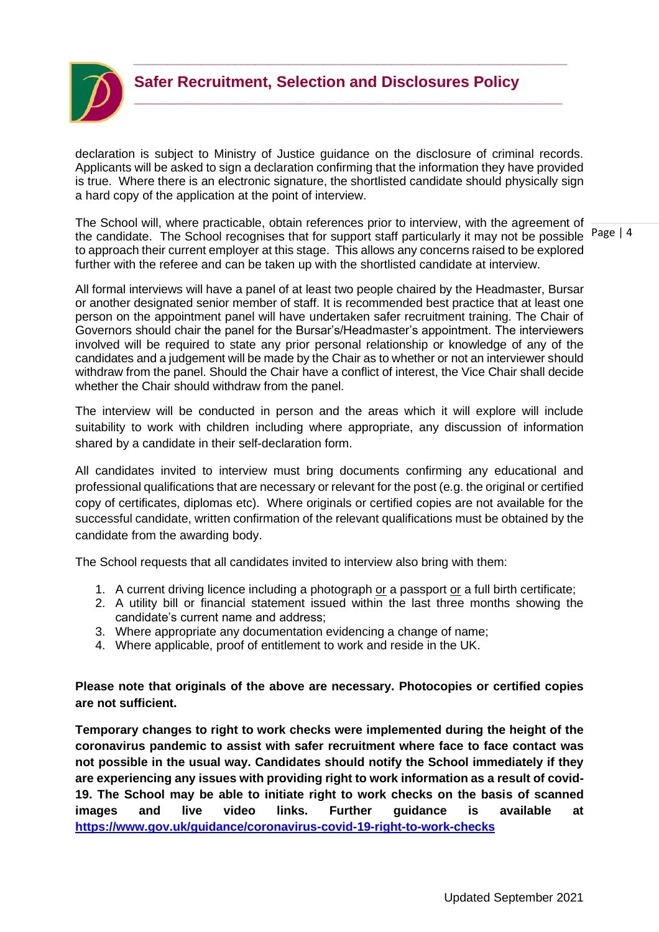

**\_\_\_\_\_\_\_\_\_\_\_\_\_\_\_\_\_\_\_\_\_\_\_\_\_\_\_\_\_\_\_\_\_\_\_\_\_\_\_\_\_\_\_\_\_\_\_\_\_\_\_\_\_\_\_\_\_\_**

declaration is subject to Ministry of Justice guidance on the disclosure of criminal records. Applicants will be asked to sign a declaration confirming that the information they have provided is true. Where there is an electronic signature, the shortlisted candidate should physically sign a hard copy of the application at the point of interview.

the candidate. The School recognises that for support staff particularly it may not be possible Page | 4 The School will, where practicable, obtain references prior to interview, with the agreement of to approach their current employer at this stage. This allows any concerns raised to be explored further with the referee and can be taken up with the shortlisted candidate at interview.

All formal interviews will have a panel of at least two people chaired by the Headmaster, Bursar or another designated senior member of staff. It is recommended best practice that at least one person on the appointment panel will have undertaken safer recruitment training. The Chair of Governors should chair the panel for the Bursar's/Headmaster's appointment. The interviewers involved will be required to state any prior personal relationship or knowledge of any of the candidates and a judgement will be made by the Chair as to whether or not an interviewer should withdraw from the panel. Should the Chair have a conflict of interest, the Vice Chair shall decide whether the Chair should withdraw from the panel.

The interview will be conducted in person and the areas which it will explore will include suitability to work with children including where appropriate, any discussion of information shared by a candidate in their self-declaration form.

All candidates invited to interview must bring documents confirming any educational and professional qualifications that are necessary or relevant for the post (e.g. the original or certified copy of certificates, diplomas etc). Where originals or certified copies are not available for the successful candidate, written confirmation of the relevant qualifications must be obtained by the candidate from the awarding body.

The School requests that all candidates invited to interview also bring with them:

- 1. A current driving licence including a photograph or a passport or a full birth certificate;
- 2. A utility bill or financial statement issued within the last three months showing the candidate's current name and address;
- 3. Where appropriate any documentation evidencing a change of name;
- 4. Where applicable, proof of entitlement to work and reside in the UK.

#### **Please note that originals of the above are necessary. Photocopies or certified copies are not sufficient.**

**Temporary changes to right to work checks were implemented during the height of the coronavirus pandemic to assist with safer recruitment where face to face contact was not possible in the usual way. Candidates should notify the School immediately if they are experiencing any issues with providing right to work information as a result of covid-19. The School may be able to initiate right to work checks on the basis of scanned images and live video links. Further guidance is available at <https://www.gov.uk/guidance/coronavirus-covid-19-right-to-work-checks>**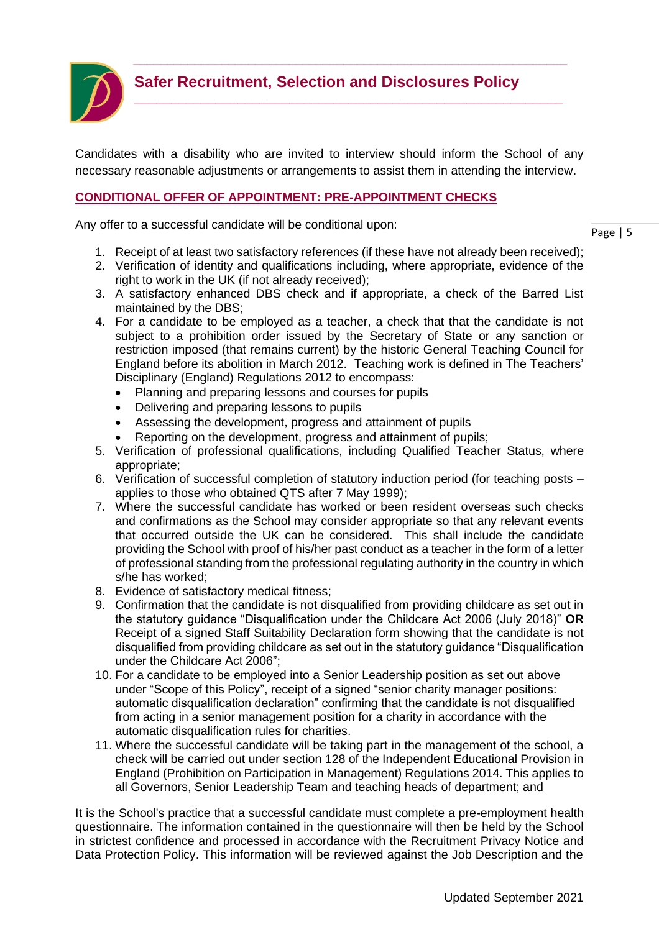

**\_\_\_\_\_\_\_\_\_\_\_\_\_\_\_\_\_\_\_\_\_\_\_\_\_\_\_\_\_\_\_\_\_\_\_\_\_\_\_\_\_\_\_\_\_\_\_\_\_\_\_\_\_\_\_\_\_\_**

Candidates with a disability who are invited to interview should inform the School of any necessary reasonable adjustments or arrangements to assist them in attending the interview.

#### **CONDITIONAL OFFER OF APPOINTMENT: PRE-APPOINTMENT CHECKS**

Any offer to a successful candidate will be conditional upon:

Page | 5

- 1. Receipt of at least two satisfactory references (if these have not already been received);
- 2. Verification of identity and qualifications including, where appropriate, evidence of the right to work in the UK (if not already received);
- 3. A satisfactory enhanced DBS check and if appropriate, a check of the Barred List maintained by the DBS;
- 4. For a candidate to be employed as a teacher, a check that that the candidate is not subject to a prohibition order issued by the Secretary of State or any sanction or restriction imposed (that remains current) by the historic General Teaching Council for England before its abolition in March 2012. Teaching work is defined in The Teachers' Disciplinary (England) Regulations 2012 to encompass:
	- Planning and preparing lessons and courses for pupils
	- Delivering and preparing lessons to pupils
	- Assessing the development, progress and attainment of pupils
	- Reporting on the development, progress and attainment of pupils;
- 5. Verification of professional qualifications, including Qualified Teacher Status, where appropriate;
- 6. Verification of successful completion of statutory induction period (for teaching posts applies to those who obtained QTS after 7 May 1999);
- 7. Where the successful candidate has worked or been resident overseas such checks and confirmations as the School may consider appropriate so that any relevant events that occurred outside the UK can be considered. This shall include the candidate providing the School with proof of his/her past conduct as a teacher in the form of a letter of professional standing from the professional regulating authority in the country in which s/he has worked;
- 8. Evidence of satisfactory medical fitness;
- 9. Confirmation that the candidate is not disqualified from providing childcare as set out in the statutory guidance "Disqualification under the Childcare Act 2006 (July 2018)" **OR** Receipt of a signed Staff Suitability Declaration form showing that the candidate is not disqualified from providing childcare as set out in the statutory guidance "Disqualification under the Childcare Act 2006";
- 10. For a candidate to be employed into a Senior Leadership position as set out above under "Scope of this Policy", receipt of a signed "senior charity manager positions: automatic disqualification declaration" confirming that the candidate is not disqualified from acting in a senior management position for a charity in accordance with the automatic disqualification rules for charities.
- 11. Where the successful candidate will be taking part in the management of the school, a check will be carried out under section 128 of the Independent Educational Provision in England (Prohibition on Participation in Management) Regulations 2014. This applies to all Governors, Senior Leadership Team and teaching heads of department; and

It is the School's practice that a successful candidate must complete a pre-employment health questionnaire. The information contained in the questionnaire will then be held by the School in strictest confidence and processed in accordance with the Recruitment Privacy Notice and Data Protection Policy. This information will be reviewed against the Job Description and the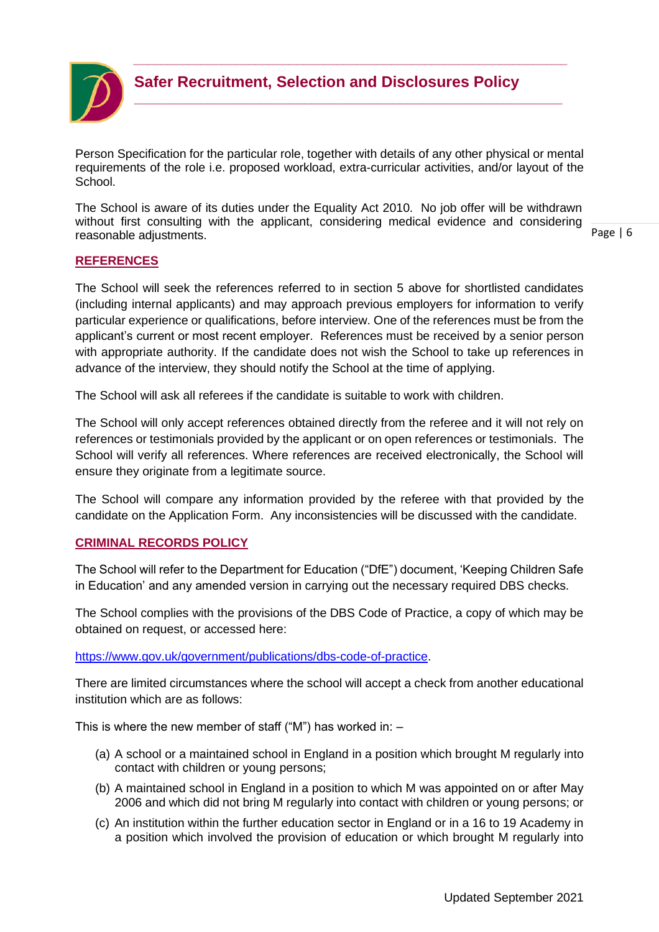

**\_\_\_\_\_\_\_\_\_\_\_\_\_\_\_\_\_\_\_\_\_\_\_\_\_\_\_\_\_\_\_\_\_\_\_\_\_\_\_\_\_\_\_\_\_\_\_\_\_\_\_\_\_\_\_\_\_\_**

Person Specification for the particular role, together with details of any other physical or mental requirements of the role i.e. proposed workload, extra-curricular activities, and/or layout of the School.

The School is aware of its duties under the Equality Act 2010. No job offer will be withdrawn without first consulting with the applicant, considering medical evidence and considering reasonable adjustments.

Page | 6

# **REFERENCES**

The School will seek the references referred to in section 5 above for shortlisted candidates (including internal applicants) and may approach previous employers for information to verify particular experience or qualifications, before interview. One of the references must be from the applicant's current or most recent employer. References must be received by a senior person with appropriate authority. If the candidate does not wish the School to take up references in advance of the interview, they should notify the School at the time of applying.

The School will ask all referees if the candidate is suitable to work with children.

The School will only accept references obtained directly from the referee and it will not rely on references or testimonials provided by the applicant or on open references or testimonials. The School will verify all references. Where references are received electronically, the School will ensure they originate from a legitimate source.

The School will compare any information provided by the referee with that provided by the candidate on the Application Form. Any inconsistencies will be discussed with the candidate.

# **CRIMINAL RECORDS POLICY**

The School will refer to the Department for Education ("DfE") document, 'Keeping Children Safe in Education' and any amended version in carrying out the necessary required DBS checks.

The School complies with the provisions of the DBS Code of Practice, a copy of which may be obtained on request, or accessed here:

[https://www.gov.uk/government/publications/dbs-code-of-practice.](https://www.gov.uk/government/publications/dbs-code-of-practice)

There are limited circumstances where the school will accept a check from another educational institution which are as follows:

This is where the new member of staff ("M") has worked in:  $-$ 

- (a) A school or a maintained school in England in a position which brought M regularly into contact with children or young persons;
- (b) A maintained school in England in a position to which M was appointed on or after May 2006 and which did not bring M regularly into contact with children or young persons; or
- (c) An institution within the further education sector in England or in a 16 to 19 Academy in a position which involved the provision of education or which brought M regularly into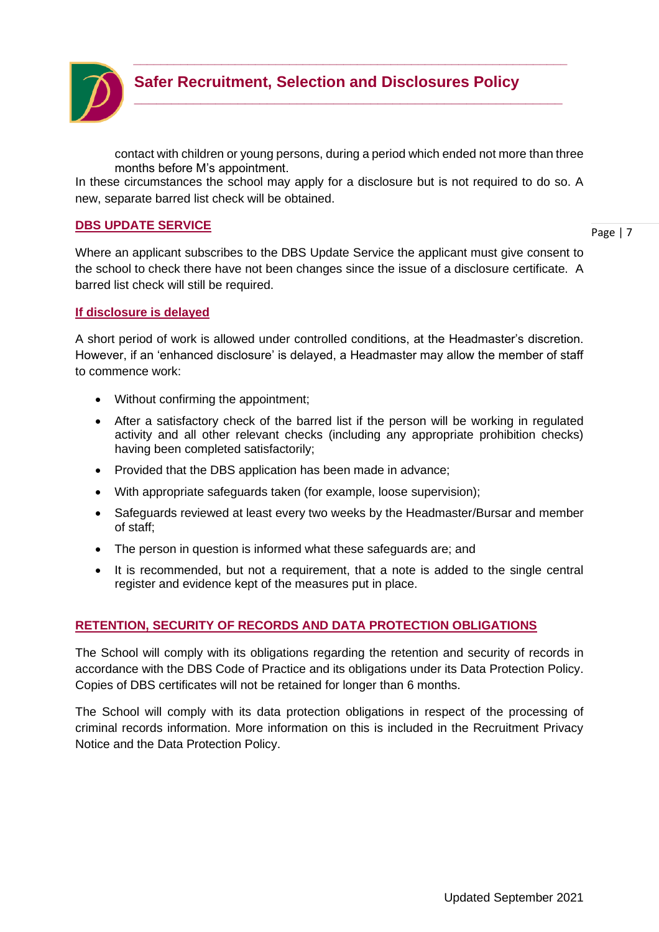

contact with children or young persons, during a period which ended not more than three months before M's appointment.

*\_\_\_\_\_\_\_\_\_\_\_\_\_\_\_\_\_\_\_\_\_\_\_\_\_\_\_\_\_\_\_\_\_\_\_\_\_\_\_\_\_\_\_\_\_\_\_\_\_\_\_\_\_\_\_\_\_\_\_\_\_\_\_\_*

**\_\_\_\_\_\_\_\_\_\_\_\_\_\_\_\_\_\_\_\_\_\_\_\_\_\_\_\_\_\_\_\_\_\_\_\_\_\_\_\_\_\_\_\_\_\_\_\_\_\_\_\_\_\_\_\_\_\_**

In these circumstances the school may apply for a disclosure but is not required to do so. A new, separate barred list check will be obtained.

#### **DBS UPDATE SERVICE**

Page | 7

Where an applicant subscribes to the DBS Update Service the applicant must give consent to the school to check there have not been changes since the issue of a disclosure certificate. A barred list check will still be required.

#### **If disclosure is delayed**

A short period of work is allowed under controlled conditions, at the Headmaster's discretion. However, if an 'enhanced disclosure' is delayed, a Headmaster may allow the member of staff to commence work:

- Without confirming the appointment;
- After a satisfactory check of the barred list if the person will be working in regulated activity and all other relevant checks (including any appropriate prohibition checks) having been completed satisfactorily;
- Provided that the DBS application has been made in advance;
- With appropriate safeguards taken (for example, loose supervision);
- Safeguards reviewed at least every two weeks by the Headmaster/Bursar and member of staff;
- The person in question is informed what these safeguards are; and
- It is recommended, but not a requirement, that a note is added to the single central register and evidence kept of the measures put in place.

# **RETENTION, SECURITY OF RECORDS AND DATA PROTECTION OBLIGATIONS**

The School will comply with its obligations regarding the retention and security of records in accordance with the DBS Code of Practice and its obligations under its Data Protection Policy. Copies of DBS certificates will not be retained for longer than 6 months.

The School will comply with its data protection obligations in respect of the processing of criminal records information. More information on this is included in the Recruitment Privacy Notice and the Data Protection Policy.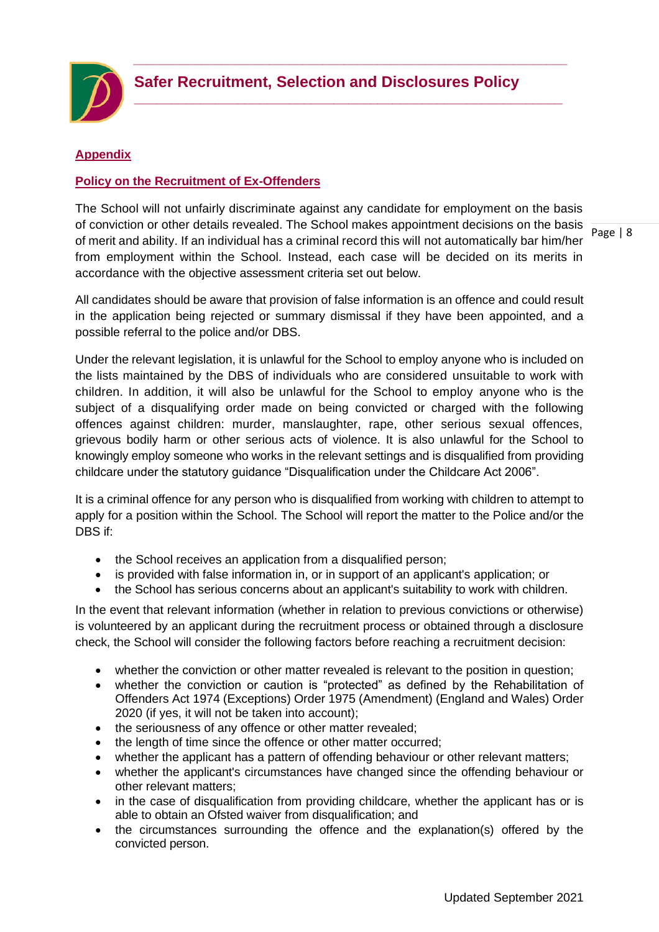

**\_\_\_\_\_\_\_\_\_\_\_\_\_\_\_\_\_\_\_\_\_\_\_\_\_\_\_\_\_\_\_\_\_\_\_\_\_\_\_\_\_\_\_\_\_\_\_\_\_\_\_\_\_\_\_\_\_\_**

#### **Appendix**

#### **Policy on the Recruitment of Ex-Offenders**

The School will not unfairly discriminate against any candidate for employment on the basis of conviction or other details revealed. The School makes appointment decisions on the basis of merit and ability. If an individual has a criminal record this will not automatically bar him/her from employment within the School. Instead, each case will be decided on its merits in accordance with the objective assessment criteria set out below.

All candidates should be aware that provision of false information is an offence and could result in the application being rejected or summary dismissal if they have been appointed, and a possible referral to the police and/or DBS.

Under the relevant legislation, it is unlawful for the School to employ anyone who is included on the lists maintained by the DBS of individuals who are considered unsuitable to work with children. In addition, it will also be unlawful for the School to employ anyone who is the subject of a disqualifying order made on being convicted or charged with the following offences against children: murder, manslaughter, rape, other serious sexual offences, grievous bodily harm or other serious acts of violence. It is also unlawful for the School to knowingly employ someone who works in the relevant settings and is disqualified from providing childcare under the statutory guidance "Disqualification under the Childcare Act 2006".

It is a criminal offence for any person who is disqualified from working with children to attempt to apply for a position within the School. The School will report the matter to the Police and/or the DBS if:

- the School receives an application from a disqualified person;
- is provided with false information in, or in support of an applicant's application; or
- the School has serious concerns about an applicant's suitability to work with children.

In the event that relevant information (whether in relation to previous convictions or otherwise) is volunteered by an applicant during the recruitment process or obtained through a disclosure check, the School will consider the following factors before reaching a recruitment decision:

- whether the conviction or other matter revealed is relevant to the position in question;
- whether the conviction or caution is "protected" as defined by the Rehabilitation of Offenders Act 1974 (Exceptions) Order 1975 (Amendment) (England and Wales) Order 2020 (if yes, it will not be taken into account);
- the seriousness of any offence or other matter revealed;
- the length of time since the offence or other matter occurred;
- whether the applicant has a pattern of offending behaviour or other relevant matters;
- whether the applicant's circumstances have changed since the offending behaviour or other relevant matters;
- in the case of disqualification from providing childcare, whether the applicant has or is able to obtain an Ofsted waiver from disqualification; and
- the circumstances surrounding the offence and the explanation(s) offered by the convicted person.

Page | 8